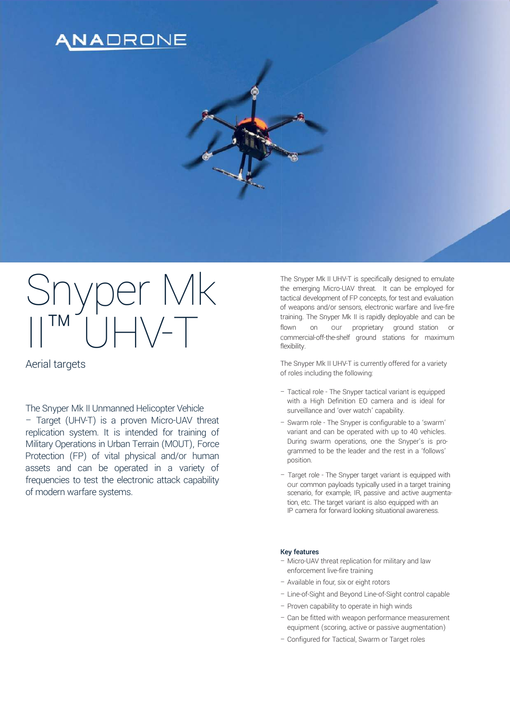## NADRONE

# Snyper Mk  $\lim_{n \to \infty} \lim_{n \to \infty} \frac{1}{n} \left( \frac{1}{n} \right) \left| \frac{1}{n} \right| \left| \frac{1}{n} \right| \left| \frac{1}{n} \right| \left| \frac{1}{n} \right| \left| \frac{1}{n} \right| \left| \frac{1}{n} \right| \left| \frac{1}{n} \right| \left| \frac{1}{n} \right| \left| \frac{1}{n} \right| \left| \frac{1}{n} \right| \left| \frac{1}{n} \right| \left| \frac{1}{n} \right| \left| \frac{1}{n} \right| \left| \frac{1}{n} \$

The Snyper Mk II Unmanned Helicopter Vehicle – Target (UHV-T) is a proven Micro-UAV threat replication system. It is intended for training of Military Operations in Urban Terrain (MOUT), Force Protection (FP) of vital physical and/or human assets and can be operated in a variety of frequencies to test the electronic attack capability of modern warfare systems.

The Snyper Mk II UHV-T is specifically designed to emulate the emerging Micro-UAV threat. It can be employed for tactical development of FP concepts, for test and evaluation of weapons and/or sensors, electronic warfare and live-fire training. The Snyper Mk II is rapidly deployable and can be flown on our proprietary ground station or commercial-off-the-shelf ground stations for maximum flexibility.

Aerial targets The Snyper Mk II UHV-T is currently offered for a variety of roles including the following:

- Tactical role The Snyper tactical variant is equipped with a High Definition EO camera and is ideal for surveillance and 'over watch' capability.
- Swarm role The Snyper is configurable to a 'swarm' variant and can be operated with up to 40 vehicles. During swarm operations, one the Snyper's is programmed to be the leader and the rest in a 'follows' position.
- Target role The Snyper target variant is equipped with our common payloads typically used in a target training scenario, for example, IR, passive and active augmentation, etc. The target variant is also equipped with an IP camera for forward looking situational awareness.

#### Key features

- Micro-UAV threat replication for military and law enforcement live-fire training
- Available in four, six or eight rotors
- Line-of-Sight and Beyond Line-of-Sight control capable
- Proven capability to operate in high winds
- Can be fitted with weapon performance measurement equipment (scoring, active or passive augmentation)
- Configured for Tactical, Swarm or Target roles